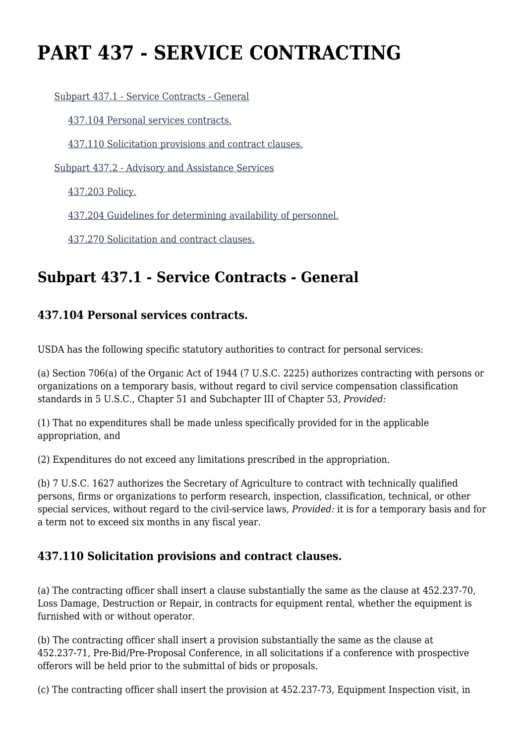# **PART 437 - SERVICE CONTRACTING**

[Subpart 437.1 - Service Contracts - General](https://origin-www.acquisition.gov/%5Brp:link:agar-part-437%5D#Subpart_437_1_T48_40216371)

[437.104 Personal services contracts.](https://origin-www.acquisition.gov/%5Brp:link:agar-part-437%5D#Section_437_104_T48_4021637111)

[437.110 Solicitation provisions and contract clauses.](https://origin-www.acquisition.gov/%5Brp:link:agar-part-437%5D#Section_437_110_T48_4021637112)

[Subpart 437.2 - Advisory and Assistance Services](https://origin-www.acquisition.gov/%5Brp:link:agar-part-437%5D#Subpart_437_2_T48_40216372)

[437.203 Policy.](https://origin-www.acquisition.gov/%5Brp:link:agar-part-437%5D#Section_437_203_T48_4021637211)

[437.204 Guidelines for determining availability of personnel.](https://origin-www.acquisition.gov/%5Brp:link:agar-part-437%5D#Section_437_204_T48_4021637212)

[437.270 Solicitation and contract clauses.](https://origin-www.acquisition.gov/%5Brp:link:agar-part-437%5D#Section_437_270_T48_4021637213)

# **Subpart 437.1 - Service Contracts - General**

#### **437.104 Personal services contracts.**

USDA has the following specific statutory authorities to contract for personal services:

(a) Section 706(a) of the Organic Act of 1944 (7 U.S.C. 2225) authorizes contracting with persons or organizations on a temporary basis, without regard to civil service compensation classification standards in 5 U.S.C., Chapter 51 and Subchapter III of Chapter 53, *Provided:*

(1) That no expenditures shall be made unless specifically provided for in the applicable appropriation, and

(2) Expenditures do not exceed any limitations prescribed in the appropriation.

(b) 7 U.S.C. 1627 authorizes the Secretary of Agriculture to contract with technically qualified persons, firms or organizations to perform research, inspection, classification, technical, or other special services, without regard to the civil-service laws, *Provided:* it is for a temporary basis and for a term not to exceed six months in any fiscal year.

#### **437.110 Solicitation provisions and contract clauses.**

(a) The contracting officer shall insert a clause substantially the same as the clause at 452.237-70, Loss Damage, Destruction or Repair, in contracts for equipment rental, whether the equipment is furnished with or without operator.

(b) The contracting officer shall insert a provision substantially the same as the clause at 452.237-71, Pre-Bid/Pre-Proposal Conference, in all solicitations if a conference with prospective offerors will be held prior to the submittal of bids or proposals.

(c) The contracting officer shall insert the provision at 452.237-73, Equipment Inspection visit, in